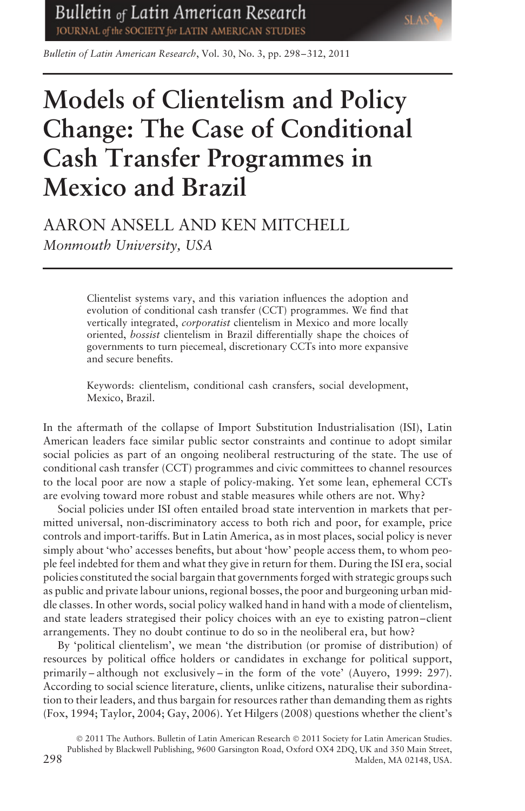*Bulletin of Latin American Research*, Vol. 30, No. 3, pp. 298–312, 2011

# **Models of Clientelism and Policy Change: The Case of Conditional Cash Transfer Programmes in Mexico and Brazil**

AARON ANSELL AND KEN MITCHELL *Monmouth University, USA*

> Clientelist systems vary, and this variation influences the adoption and evolution of conditional cash transfer (CCT) programmes. We find that vertically integrated, *corporatist* clientelism in Mexico and more locally oriented, *bossist* clientelism in Brazil differentially shape the choices of governments to turn piecemeal, discretionary CCTs into more expansive and secure benefits.

> Keywords: clientelism, conditional cash cransfers, social development, Mexico, Brazil.

In the aftermath of the collapse of Import Substitution Industrialisation (ISI), Latin American leaders face similar public sector constraints and continue to adopt similar social policies as part of an ongoing neoliberal restructuring of the state. The use of conditional cash transfer (CCT) programmes and civic committees to channel resources to the local poor are now a staple of policy-making. Yet some lean, ephemeral CCTs are evolving toward more robust and stable measures while others are not. Why?

Social policies under ISI often entailed broad state intervention in markets that permitted universal, non-discriminatory access to both rich and poor, for example, price controls and import-tariffs. But in Latin America, as in most places, social policy is never simply about 'who' accesses benefits, but about 'how' people access them, to whom people feel indebted for them and what they give in return for them. During the ISI era, social policies constituted the social bargain that governments forged with strategic groups such as public and private labour unions, regional bosses, the poor and burgeoning urban middle classes. In other words, social policy walked hand in hand with a mode of clientelism, and state leaders strategised their policy choices with an eye to existing patron–client arrangements. They no doubt continue to do so in the neoliberal era, but how?

By 'political clientelism', we mean 'the distribution (or promise of distribution) of resources by political office holders or candidates in exchange for political support, primarily – although not exclusively – in the form of the vote' (Auyero, 1999: 297). According to social science literature, clients, unlike citizens, naturalise their subordination to their leaders, and thus bargain for resources rather than demanding them as rights (Fox, 1994; Taylor, 2004; Gay, 2006). Yet Hilgers (2008) questions whether the client's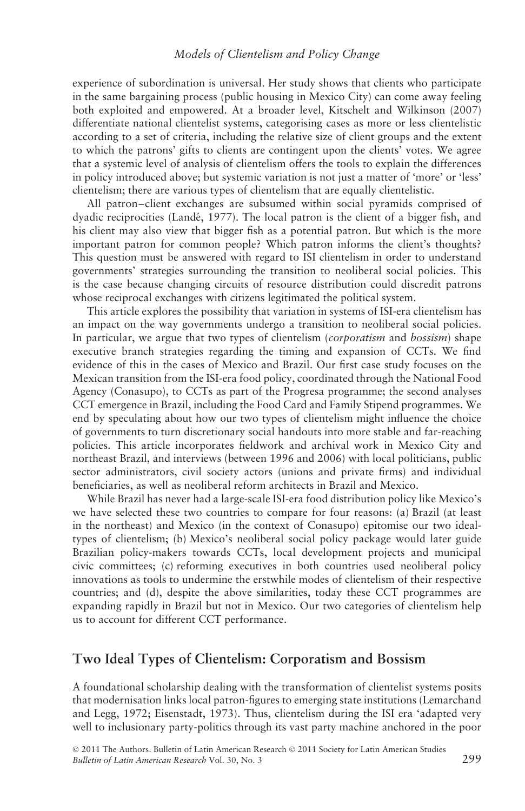experience of subordination is universal. Her study shows that clients who participate in the same bargaining process (public housing in Mexico City) can come away feeling both exploited and empowered. At a broader level, Kitschelt and Wilkinson (2007) differentiate national clientelist systems, categorising cases as more or less clientelistic according to a set of criteria, including the relative size of client groups and the extent to which the patrons' gifts to clients are contingent upon the clients' votes. We agree that a systemic level of analysis of clientelism offers the tools to explain the differences in policy introduced above; but systemic variation is not just a matter of 'more' or 'less' clientelism; there are various types of clientelism that are equally clientelistic.

All patron–client exchanges are subsumed within social pyramids comprised of dyadic reciprocities (Lande, 1977). The local patron is the client of a bigger fish, and ´ his client may also view that bigger fish as a potential patron. But which is the more important patron for common people? Which patron informs the client's thoughts? This question must be answered with regard to ISI clientelism in order to understand governments' strategies surrounding the transition to neoliberal social policies. This is the case because changing circuits of resource distribution could discredit patrons whose reciprocal exchanges with citizens legitimated the political system.

This article explores the possibility that variation in systems of ISI-era clientelism has an impact on the way governments undergo a transition to neoliberal social policies. In particular, we argue that two types of clientelism (*corporatism* and *bossism*) shape executive branch strategies regarding the timing and expansion of CCTs. We find evidence of this in the cases of Mexico and Brazil. Our first case study focuses on the Mexican transition from the ISI-era food policy, coordinated through the National Food Agency (Conasupo), to CCTs as part of the Progresa programme; the second analyses CCT emergence in Brazil, including the Food Card and Family Stipend programmes. We end by speculating about how our two types of clientelism might influence the choice of governments to turn discretionary social handouts into more stable and far-reaching policies. This article incorporates fieldwork and archival work in Mexico City and northeast Brazil, and interviews (between 1996 and 2006) with local politicians, public sector administrators, civil society actors (unions and private firms) and individual beneficiaries, as well as neoliberal reform architects in Brazil and Mexico.

While Brazil has never had a large-scale ISI-era food distribution policy like Mexico's we have selected these two countries to compare for four reasons: (a) Brazil (at least in the northeast) and Mexico (in the context of Conasupo) epitomise our two idealtypes of clientelism; (b) Mexico's neoliberal social policy package would later guide Brazilian policy-makers towards CCTs, local development projects and municipal civic committees; (c) reforming executives in both countries used neoliberal policy innovations as tools to undermine the erstwhile modes of clientelism of their respective countries; and (d), despite the above similarities, today these CCT programmes are expanding rapidly in Brazil but not in Mexico. Our two categories of clientelism help us to account for different CCT performance.

# **Two Ideal Types of Clientelism: Corporatism and Bossism**

A foundational scholarship dealing with the transformation of clientelist systems posits that modernisation links local patron-figures to emerging state institutions (Lemarchand and Legg, 1972; Eisenstadt, 1973). Thus, clientelism during the ISI era 'adapted very well to inclusionary party-politics through its vast party machine anchored in the poor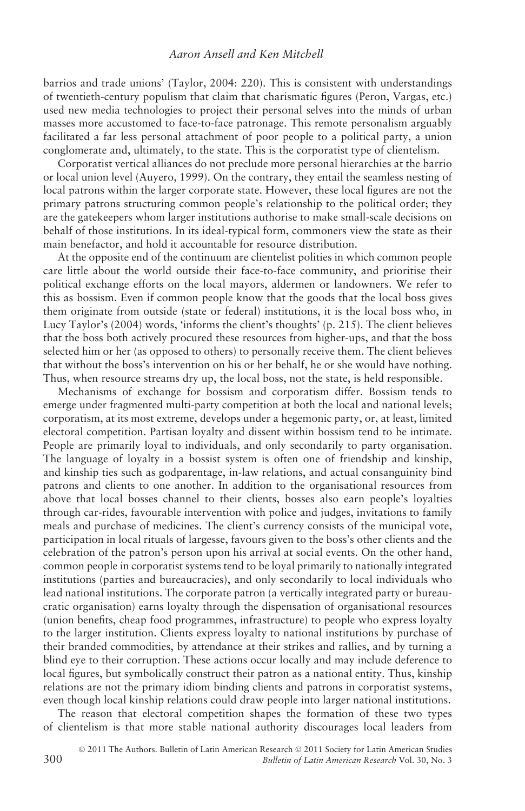barrios and trade unions' (Taylor, 2004: 220). This is consistent with understandings of twentieth-century populism that claim that charismatic figures (Peron, Vargas, etc.) used new media technologies to project their personal selves into the minds of urban masses more accustomed to face-to-face patronage. This remote personalism arguably facilitated a far less personal attachment of poor people to a political party, a union conglomerate and, ultimately, to the state. This is the corporatist type of clientelism.

Corporatist vertical alliances do not preclude more personal hierarchies at the barrio or local union level (Auyero, 1999). On the contrary, they entail the seamless nesting of local patrons within the larger corporate state. However, these local figures are not the primary patrons structuring common people's relationship to the political order; they are the gatekeepers whom larger institutions authorise to make small-scale decisions on behalf of those institutions. In its ideal-typical form, commoners view the state as their main benefactor, and hold it accountable for resource distribution.

At the opposite end of the continuum are clientelist polities in which common people care little about the world outside their face-to-face community, and prioritise their political exchange efforts on the local mayors, aldermen or landowners. We refer to this as bossism. Even if common people know that the goods that the local boss gives them originate from outside (state or federal) institutions, it is the local boss who, in Lucy Taylor's (2004) words, 'informs the client's thoughts' (p. 215). The client believes that the boss both actively procured these resources from higher-ups, and that the boss selected him or her (as opposed to others) to personally receive them. The client believes that without the boss's intervention on his or her behalf, he or she would have nothing. Thus, when resource streams dry up, the local boss, not the state, is held responsible.

Mechanisms of exchange for bossism and corporatism differ. Bossism tends to emerge under fragmented multi-party competition at both the local and national levels; corporatism, at its most extreme, develops under a hegemonic party, or, at least, limited electoral competition. Partisan loyalty and dissent within bossism tend to be intimate. People are primarily loyal to individuals, and only secondarily to party organisation. The language of loyalty in a bossist system is often one of friendship and kinship, and kinship ties such as godparentage, in-law relations, and actual consanguinity bind patrons and clients to one another. In addition to the organisational resources from above that local bosses channel to their clients, bosses also earn people's loyalties through car-rides, favourable intervention with police and judges, invitations to family meals and purchase of medicines. The client's currency consists of the municipal vote, participation in local rituals of largesse, favours given to the boss's other clients and the celebration of the patron's person upon his arrival at social events. On the other hand, common people in corporatist systems tend to be loyal primarily to nationally integrated institutions (parties and bureaucracies), and only secondarily to local individuals who lead national institutions. The corporate patron (a vertically integrated party or bureaucratic organisation) earns loyalty through the dispensation of organisational resources (union benefits, cheap food programmes, infrastructure) to people who express loyalty to the larger institution. Clients express loyalty to national institutions by purchase of their branded commodities, by attendance at their strikes and rallies, and by turning a blind eye to their corruption. These actions occur locally and may include deference to local figures, but symbolically construct their patron as a national entity. Thus, kinship relations are not the primary idiom binding clients and patrons in corporatist systems, even though local kinship relations could draw people into larger national institutions.

The reason that electoral competition shapes the formation of these two types of clientelism is that more stable national authority discourages local leaders from

© 2011 The Authors. Bulletin of Latin American Research © 2011 Society for Latin American Studies 300 *Bulletin of Latin American Research* Vol. 30, No. 3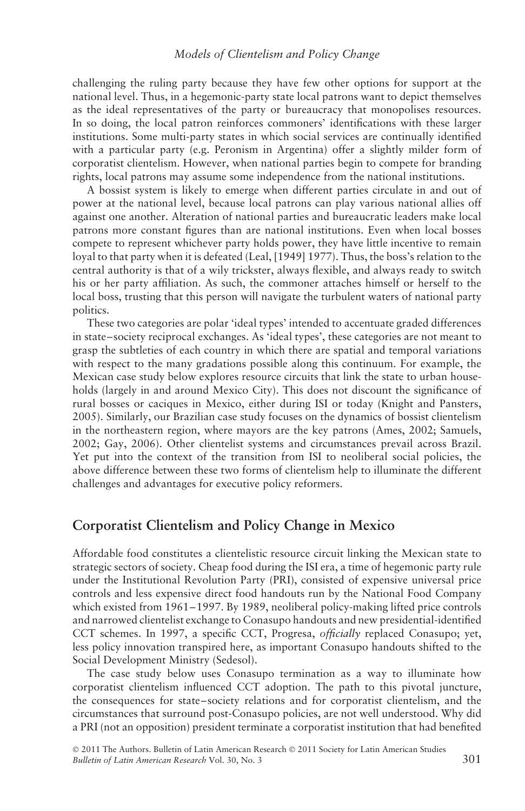challenging the ruling party because they have few other options for support at the national level. Thus, in a hegemonic-party state local patrons want to depict themselves as the ideal representatives of the party or bureaucracy that monopolises resources. In so doing, the local patron reinforces commoners' identifications with these larger institutions. Some multi-party states in which social services are continually identified with a particular party (e.g. Peronism in Argentina) offer a slightly milder form of corporatist clientelism. However, when national parties begin to compete for branding rights, local patrons may assume some independence from the national institutions.

A bossist system is likely to emerge when different parties circulate in and out of power at the national level, because local patrons can play various national allies off against one another. Alteration of national parties and bureaucratic leaders make local patrons more constant figures than are national institutions. Even when local bosses compete to represent whichever party holds power, they have little incentive to remain loyal to that party when it is defeated (Leal, [1949] 1977). Thus, the boss's relation to the central authority is that of a wily trickster, always flexible, and always ready to switch his or her party affiliation. As such, the commoner attaches himself or herself to the local boss, trusting that this person will navigate the turbulent waters of national party politics.

These two categories are polar 'ideal types' intended to accentuate graded differences in state–society reciprocal exchanges. As 'ideal types', these categories are not meant to grasp the subtleties of each country in which there are spatial and temporal variations with respect to the many gradations possible along this continuum. For example, the Mexican case study below explores resource circuits that link the state to urban households (largely in and around Mexico City). This does not discount the significance of rural bosses or caciques in Mexico, either during ISI or today (Knight and Pansters, 2005). Similarly, our Brazilian case study focuses on the dynamics of bossist clientelism in the northeastern region, where mayors are the key patrons (Ames, 2002; Samuels, 2002; Gay, 2006). Other clientelist systems and circumstances prevail across Brazil. Yet put into the context of the transition from ISI to neoliberal social policies, the above difference between these two forms of clientelism help to illuminate the different challenges and advantages for executive policy reformers.

# **Corporatist Clientelism and Policy Change in Mexico**

Affordable food constitutes a clientelistic resource circuit linking the Mexican state to strategic sectors of society. Cheap food during the ISI era, a time of hegemonic party rule under the Institutional Revolution Party (PRI), consisted of expensive universal price controls and less expensive direct food handouts run by the National Food Company which existed from 1961–1997. By 1989, neoliberal policy-making lifted price controls and narrowed clientelist exchange to Conasupo handouts and new presidential-identified CCT schemes. In 1997, a specific CCT, Progresa, *officially* replaced Conasupo; yet, less policy innovation transpired here, as important Conasupo handouts shifted to the Social Development Ministry (Sedesol).

The case study below uses Conasupo termination as a way to illuminate how corporatist clientelism influenced CCT adoption. The path to this pivotal juncture, the consequences for state–society relations and for corporatist clientelism, and the circumstances that surround post-Conasupo policies, are not well understood. Why did a PRI (not an opposition) president terminate a corporatist institution that had benefited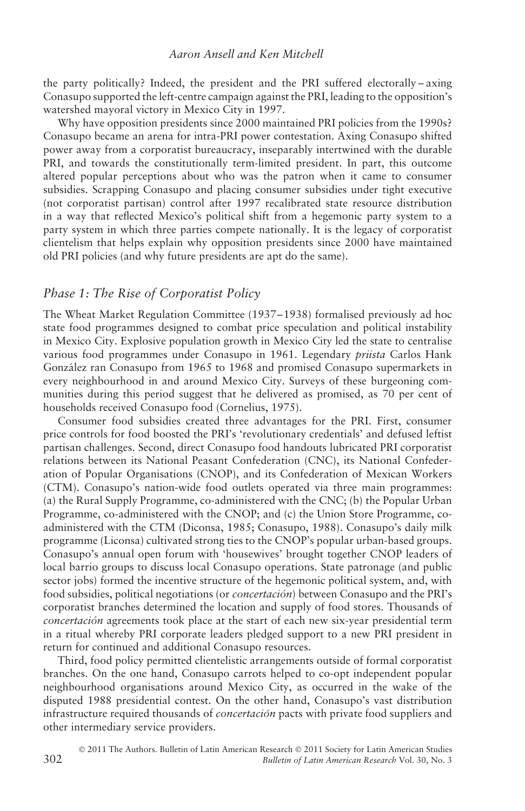#### *Aaron Ansell and Ken Mitchell*

the party politically? Indeed, the president and the PRI suffered electorally – axing Conasupo supported the left-centre campaign against the PRI, leading to the opposition's watershed mayoral victory in Mexico City in 1997.

Why have opposition presidents since 2000 maintained PRI policies from the 1990s? Conasupo became an arena for intra-PRI power contestation. Axing Conasupo shifted power away from a corporatist bureaucracy, inseparably intertwined with the durable PRI, and towards the constitutionally term-limited president. In part, this outcome altered popular perceptions about who was the patron when it came to consumer subsidies. Scrapping Conasupo and placing consumer subsidies under tight executive (not corporatist partisan) control after 1997 recalibrated state resource distribution in a way that reflected Mexico's political shift from a hegemonic party system to a party system in which three parties compete nationally. It is the legacy of corporatist clientelism that helps explain why opposition presidents since 2000 have maintained old PRI policies (and why future presidents are apt do the same).

# *Phase 1: The Rise of Corporatist Policy*

The Wheat Market Regulation Committee (1937–1938) formalised previously ad hoc state food programmes designed to combat price speculation and political instability in Mexico City. Explosive population growth in Mexico City led the state to centralise various food programmes under Conasupo in 1961. Legendary *priista* Carlos Hank Gonzalez ran Conasupo from 1965 to 1968 and promised Conasupo supermarkets in ´ every neighbourhood in and around Mexico City. Surveys of these burgeoning communities during this period suggest that he delivered as promised, as 70 per cent of households received Conasupo food (Cornelius, 1975).

Consumer food subsidies created three advantages for the PRI. First, consumer price controls for food boosted the PRI's 'revolutionary credentials' and defused leftist partisan challenges. Second, direct Conasupo food handouts lubricated PRI corporatist relations between its National Peasant Confederation (CNC), its National Confederation of Popular Organisations (CNOP), and its Confederation of Mexican Workers (CTM). Conasupo's nation-wide food outlets operated via three main programmes: (a) the Rural Supply Programme, co-administered with the CNC; (b) the Popular Urban Programme, co-administered with the CNOP; and (c) the Union Store Programme, coadministered with the CTM (Diconsa, 1985; Conasupo, 1988). Conasupo's daily milk programme (Liconsa) cultivated strong ties to the CNOP's popular urban-based groups. Conasupo's annual open forum with 'housewives' brought together CNOP leaders of local barrio groups to discuss local Conasupo operations. State patronage (and public sector jobs) formed the incentive structure of the hegemonic political system, and, with food subsidies, political negotiations (or *concertación*) between Conasupo and the PRI's corporatist branches determined the location and supply of food stores. Thousands of *concertacion´* agreements took place at the start of each new six-year presidential term in a ritual whereby PRI corporate leaders pledged support to a new PRI president in return for continued and additional Conasupo resources.

Third, food policy permitted clientelistic arrangements outside of formal corporatist branches. On the one hand, Conasupo carrots helped to co-opt independent popular neighbourhood organisations around Mexico City, as occurred in the wake of the disputed 1988 presidential contest. On the other hand, Conasupo's vast distribution infrastructure required thousands of *concertacion´* pacts with private food suppliers and other intermediary service providers.

© 2011 The Authors. Bulletin of Latin American Research © 2011 Society for Latin American Studies 302 *Bulletin of Latin American Research* Vol. 30, No. 3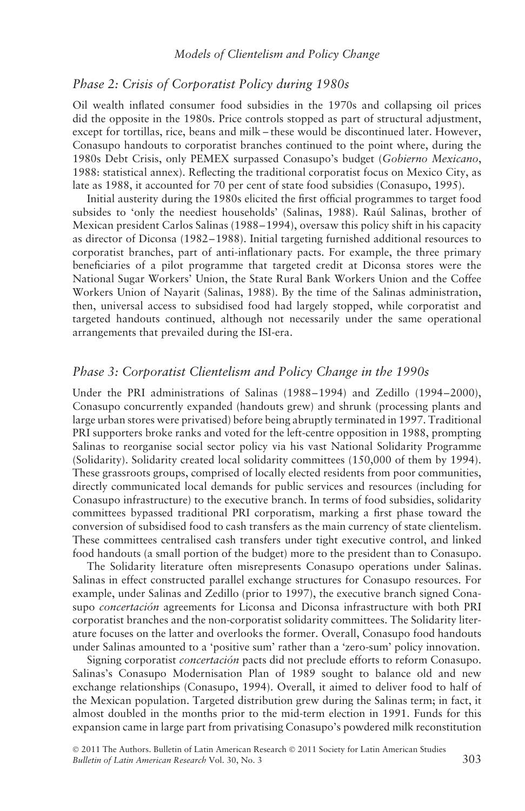# *Phase 2: Crisis of Corporatist Policy during 1980s*

Oil wealth inflated consumer food subsidies in the 1970s and collapsing oil prices did the opposite in the 1980s. Price controls stopped as part of structural adjustment, except for tortillas, rice, beans and milk – these would be discontinued later. However, Conasupo handouts to corporatist branches continued to the point where, during the 1980s Debt Crisis, only PEMEX surpassed Conasupo's budget (*Gobierno Mexicano*, 1988: statistical annex). Reflecting the traditional corporatist focus on Mexico City, as late as 1988, it accounted for 70 per cent of state food subsidies (Conasupo, 1995).

Initial austerity during the 1980s elicited the first official programmes to target food subsides to 'only the neediest households' (Salinas, 1988). Raúl Salinas, brother of Mexican president Carlos Salinas (1988–1994), oversaw this policy shift in his capacity as director of Diconsa (1982–1988). Initial targeting furnished additional resources to corporatist branches, part of anti-inflationary pacts. For example, the three primary beneficiaries of a pilot programme that targeted credit at Diconsa stores were the National Sugar Workers' Union, the State Rural Bank Workers Union and the Coffee Workers Union of Nayarit (Salinas, 1988). By the time of the Salinas administration, then, universal access to subsidised food had largely stopped, while corporatist and targeted handouts continued, although not necessarily under the same operational arrangements that prevailed during the ISI-era.

# *Phase 3: Corporatist Clientelism and Policy Change in the 1990s*

Under the PRI administrations of Salinas (1988–1994) and Zedillo (1994–2000), Conasupo concurrently expanded (handouts grew) and shrunk (processing plants and large urban stores were privatised) before being abruptly terminated in 1997. Traditional PRI supporters broke ranks and voted for the left-centre opposition in 1988, prompting Salinas to reorganise social sector policy via his vast National Solidarity Programme (Solidarity). Solidarity created local solidarity committees (150,000 of them by 1994). These grassroots groups, comprised of locally elected residents from poor communities, directly communicated local demands for public services and resources (including for Conasupo infrastructure) to the executive branch. In terms of food subsidies, solidarity committees bypassed traditional PRI corporatism, marking a first phase toward the conversion of subsidised food to cash transfers as the main currency of state clientelism. These committees centralised cash transfers under tight executive control, and linked food handouts (a small portion of the budget) more to the president than to Conasupo.

The Solidarity literature often misrepresents Conasupo operations under Salinas. Salinas in effect constructed parallel exchange structures for Conasupo resources. For example, under Salinas and Zedillo (prior to 1997), the executive branch signed Conasupo *concertacion´* agreements for Liconsa and Diconsa infrastructure with both PRI corporatist branches and the non-corporatist solidarity committees. The Solidarity literature focuses on the latter and overlooks the former. Overall, Conasupo food handouts under Salinas amounted to a 'positive sum' rather than a 'zero-sum' policy innovation.

Signing corporatist *concertacion´* pacts did not preclude efforts to reform Conasupo. Salinas's Conasupo Modernisation Plan of 1989 sought to balance old and new exchange relationships (Conasupo, 1994). Overall, it aimed to deliver food to half of the Mexican population. Targeted distribution grew during the Salinas term; in fact, it almost doubled in the months prior to the mid-term election in 1991. Funds for this expansion came in large part from privatising Conasupo's powdered milk reconstitution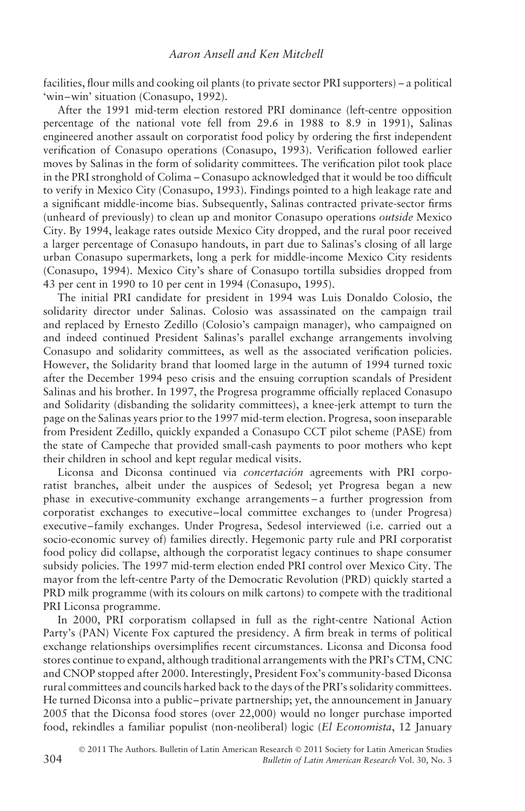facilities, flour mills and cooking oil plants (to private sector PRI supporters) – a political 'win–win' situation (Conasupo, 1992).

After the 1991 mid-term election restored PRI dominance (left-centre opposition percentage of the national vote fell from 29.6 in 1988 to 8.9 in 1991), Salinas engineered another assault on corporatist food policy by ordering the first independent verification of Conasupo operations (Conasupo, 1993). Verification followed earlier moves by Salinas in the form of solidarity committees. The verification pilot took place in the PRI stronghold of Colima – Conasupo acknowledged that it would be too difficult to verify in Mexico City (Conasupo, 1993). Findings pointed to a high leakage rate and a significant middle-income bias. Subsequently, Salinas contracted private-sector firms (unheard of previously) to clean up and monitor Conasupo operations *outside* Mexico City. By 1994, leakage rates outside Mexico City dropped, and the rural poor received a larger percentage of Conasupo handouts, in part due to Salinas's closing of all large urban Conasupo supermarkets, long a perk for middle-income Mexico City residents (Conasupo, 1994). Mexico City's share of Conasupo tortilla subsidies dropped from 43 per cent in 1990 to 10 per cent in 1994 (Conasupo, 1995).

The initial PRI candidate for president in 1994 was Luis Donaldo Colosio, the solidarity director under Salinas. Colosio was assassinated on the campaign trail and replaced by Ernesto Zedillo (Colosio's campaign manager), who campaigned on and indeed continued President Salinas's parallel exchange arrangements involving Conasupo and solidarity committees, as well as the associated verification policies. However, the Solidarity brand that loomed large in the autumn of 1994 turned toxic after the December 1994 peso crisis and the ensuing corruption scandals of President Salinas and his brother. In 1997, the Progresa programme officially replaced Conasupo and Solidarity (disbanding the solidarity committees), a knee-jerk attempt to turn the page on the Salinas years prior to the 1997 mid-term election. Progresa, soon inseparable from President Zedillo, quickly expanded a Conasupo CCT pilot scheme (PASE) from the state of Campeche that provided small-cash payments to poor mothers who kept their children in school and kept regular medical visits.

Liconsa and Diconsa continued via *concertacion´* agreements with PRI corporatist branches, albeit under the auspices of Sedesol; yet Progresa began a new phase in executive-community exchange arrangements – a further progression from corporatist exchanges to executive–local committee exchanges to (under Progresa) executive–family exchanges. Under Progresa, Sedesol interviewed (i.e. carried out a socio-economic survey of) families directly. Hegemonic party rule and PRI corporatist food policy did collapse, although the corporatist legacy continues to shape consumer subsidy policies. The 1997 mid-term election ended PRI control over Mexico City. The mayor from the left-centre Party of the Democratic Revolution (PRD) quickly started a PRD milk programme (with its colours on milk cartons) to compete with the traditional PRI Liconsa programme.

In 2000, PRI corporatism collapsed in full as the right-centre National Action Party's (PAN) Vicente Fox captured the presidency. A firm break in terms of political exchange relationships oversimplifies recent circumstances. Liconsa and Diconsa food stores continue to expand, although traditional arrangements with the PRI's CTM, CNC and CNOP stopped after 2000. Interestingly, President Fox's community-based Diconsa rural committees and councils harked back to the days of the PRI's solidarity committees. He turned Diconsa into a public–private partnership; yet, the announcement in January 2005 that the Diconsa food stores (over 22,000) would no longer purchase imported food, rekindles a familiar populist (non-neoliberal) logic (*El Economista*, 12 January

© 2011 The Authors. Bulletin of Latin American Research © 2011 Society for Latin American Studies 304 *Bulletin of Latin American Research* Vol. 30, No. 3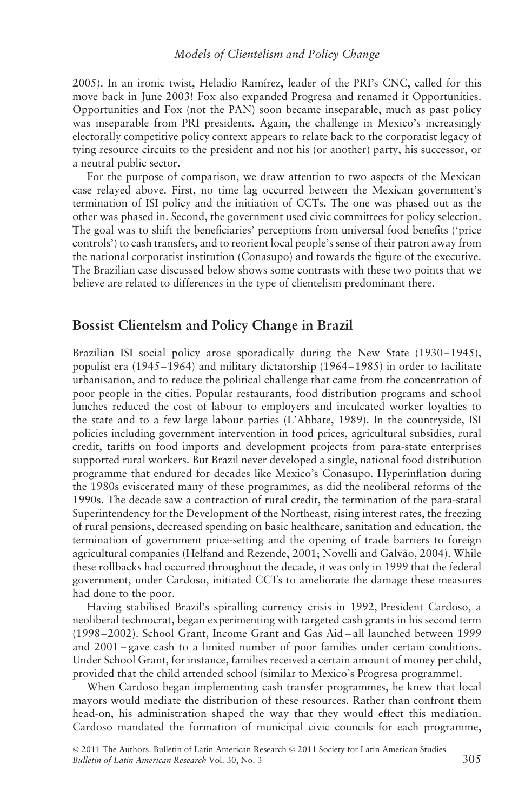2005). In an ironic twist, Heladio Ramírez, leader of the PRI's CNC, called for this move back in June 2003! Fox also expanded Progresa and renamed it Opportunities. Opportunities and Fox (not the PAN) soon became inseparable, much as past policy was inseparable from PRI presidents. Again, the challenge in Mexico's increasingly electorally competitive policy context appears to relate back to the corporatist legacy of tying resource circuits to the president and not his (or another) party, his successor, or a neutral public sector.

For the purpose of comparison, we draw attention to two aspects of the Mexican case relayed above. First, no time lag occurred between the Mexican government's termination of ISI policy and the initiation of CCTs. The one was phased out as the other was phased in. Second, the government used civic committees for policy selection. The goal was to shift the beneficiaries' perceptions from universal food benefits ('price controls') to cash transfers, and to reorient local people's sense of their patron away from the national corporatist institution (Conasupo) and towards the figure of the executive. The Brazilian case discussed below shows some contrasts with these two points that we believe are related to differences in the type of clientelism predominant there.

# **Bossist Clientelsm and Policy Change in Brazil**

Brazilian ISI social policy arose sporadically during the New State (1930–1945), populist era (1945–1964) and military dictatorship (1964–1985) in order to facilitate urbanisation, and to reduce the political challenge that came from the concentration of poor people in the cities. Popular restaurants, food distribution programs and school lunches reduced the cost of labour to employers and inculcated worker loyalties to the state and to a few large labour parties (L'Abbate, 1989). In the countryside, ISI policies including government intervention in food prices, agricultural subsidies, rural credit, tariffs on food imports and development projects from para-state enterprises supported rural workers. But Brazil never developed a single, national food distribution programme that endured for decades like Mexico's Conasupo. Hyperinflation during the 1980s eviscerated many of these programmes, as did the neoliberal reforms of the 1990s. The decade saw a contraction of rural credit, the termination of the para-statal Superintendency for the Development of the Northeast, rising interest rates, the freezing of rural pensions, decreased spending on basic healthcare, sanitation and education, the termination of government price-setting and the opening of trade barriers to foreign agricultural companies (Helfand and Rezende, 2001; Novelli and Galvão, 2004). While these rollbacks had occurred throughout the decade, it was only in 1999 that the federal government, under Cardoso, initiated CCTs to ameliorate the damage these measures had done to the poor.

Having stabilised Brazil's spiralling currency crisis in 1992, President Cardoso, a neoliberal technocrat, began experimenting with targeted cash grants in his second term (1998–2002). School Grant, Income Grant and Gas Aid – all launched between 1999 and 2001 – gave cash to a limited number of poor families under certain conditions. Under School Grant, for instance, families received a certain amount of money per child, provided that the child attended school (similar to Mexico's Progresa programme).

When Cardoso began implementing cash transfer programmes, he knew that local mayors would mediate the distribution of these resources. Rather than confront them head-on, his administration shaped the way that they would effect this mediation. Cardoso mandated the formation of municipal civic councils for each programme,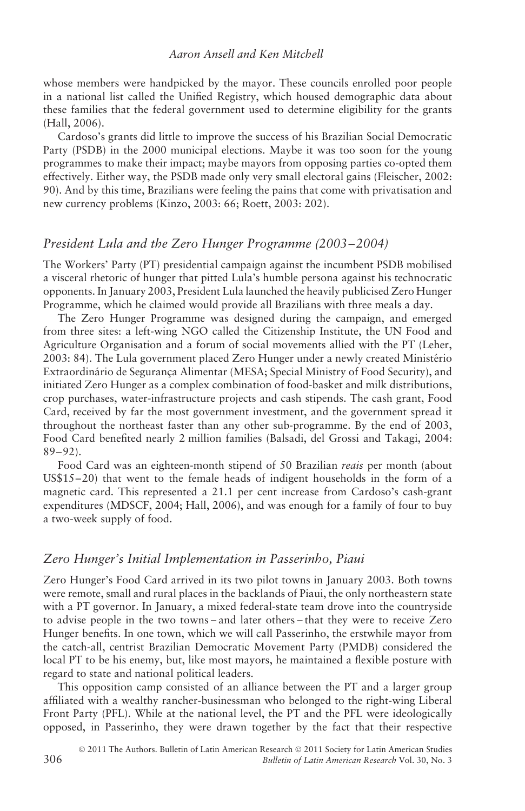whose members were handpicked by the mayor. These councils enrolled poor people in a national list called the Unified Registry, which housed demographic data about these families that the federal government used to determine eligibility for the grants (Hall, 2006).

Cardoso's grants did little to improve the success of his Brazilian Social Democratic Party (PSDB) in the 2000 municipal elections. Maybe it was too soon for the young programmes to make their impact; maybe mayors from opposing parties co-opted them effectively. Either way, the PSDB made only very small electoral gains (Fleischer, 2002: 90). And by this time, Brazilians were feeling the pains that come with privatisation and new currency problems (Kinzo, 2003: 66; Roett, 2003: 202).

#### *President Lula and the Zero Hunger Programme (2003–2004)*

The Workers' Party (PT) presidential campaign against the incumbent PSDB mobilised a visceral rhetoric of hunger that pitted Lula's humble persona against his technocratic opponents. In January 2003, President Lula launched the heavily publicised Zero Hunger Programme, which he claimed would provide all Brazilians with three meals a day.

The Zero Hunger Programme was designed during the campaign, and emerged from three sites: a left-wing NGO called the Citizenship Institute, the UN Food and Agriculture Organisation and a forum of social movements allied with the PT (Leher, 2003: 84). The Lula government placed Zero Hunger under a newly created Ministerio ´ Extraordinário de Segurança Alimentar (MESA; Special Ministry of Food Security), and initiated Zero Hunger as a complex combination of food-basket and milk distributions, crop purchases, water-infrastructure projects and cash stipends. The cash grant, Food Card, received by far the most government investment, and the government spread it throughout the northeast faster than any other sub-programme. By the end of 2003, Food Card benefited nearly 2 million families (Balsadi, del Grossi and Takagi, 2004: 89–92).

Food Card was an eighteen-month stipend of 50 Brazilian *reais* per month (about US\$15–20) that went to the female heads of indigent households in the form of a magnetic card. This represented a 21.1 per cent increase from Cardoso's cash-grant expenditures (MDSCF, 2004; Hall, 2006), and was enough for a family of four to buy a two-week supply of food.

## *Zero Hunger's Initial Implementation in Passerinho, Piaui*

Zero Hunger's Food Card arrived in its two pilot towns in January 2003. Both towns were remote, small and rural places in the backlands of Piaui, the only northeastern state with a PT governor. In January, a mixed federal-state team drove into the countryside to advise people in the two towns – and later others – that they were to receive Zero Hunger benefits. In one town, which we will call Passerinho, the erstwhile mayor from the catch-all, centrist Brazilian Democratic Movement Party (PMDB) considered the local PT to be his enemy, but, like most mayors, he maintained a flexible posture with regard to state and national political leaders.

This opposition camp consisted of an alliance between the PT and a larger group affiliated with a wealthy rancher-businessman who belonged to the right-wing Liberal Front Party (PFL). While at the national level, the PT and the PFL were ideologically opposed, in Passerinho, they were drawn together by the fact that their respective

<sup>©</sup> 2011 The Authors. Bulletin of Latin American Research © 2011 Society for Latin American Studies 306 *Bulletin of Latin American Research* Vol. 30, No. 3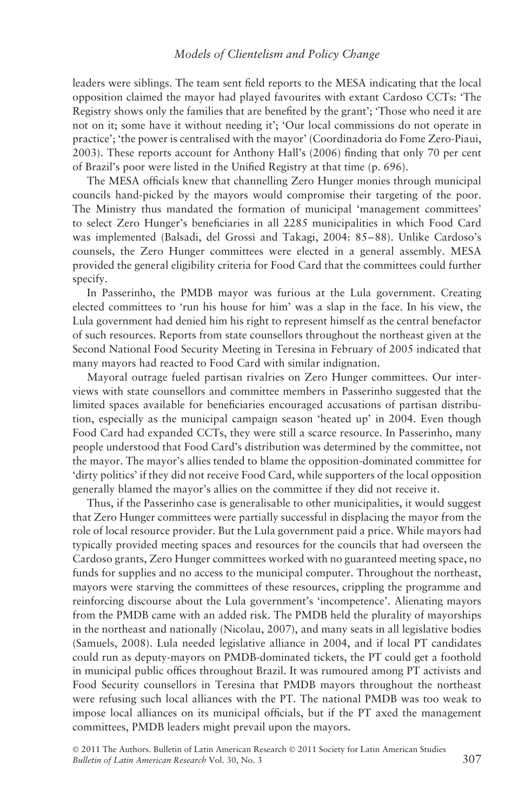leaders were siblings. The team sent field reports to the MESA indicating that the local opposition claimed the mayor had played favourites with extant Cardoso CCTs: 'The Registry shows only the families that are benefited by the grant'; 'Those who need it are not on it; some have it without needing it'; 'Our local commissions do not operate in practice'; 'the power is centralised with the mayor' (Coordinadoria do Fome Zero-Piaui, 2003). These reports account for Anthony Hall's (2006) finding that only 70 per cent of Brazil's poor were listed in the Unified Registry at that time (p. 696).

The MESA officials knew that channelling Zero Hunger monies through municipal councils hand-picked by the mayors would compromise their targeting of the poor. The Ministry thus mandated the formation of municipal 'management committees' to select Zero Hunger's beneficiaries in all 2285 municipalities in which Food Card was implemented (Balsadi, del Grossi and Takagi, 2004: 85–88). Unlike Cardoso's counsels, the Zero Hunger committees were elected in a general assembly. MESA provided the general eligibility criteria for Food Card that the committees could further specify.

In Passerinho, the PMDB mayor was furious at the Lula government. Creating elected committees to 'run his house for him' was a slap in the face. In his view, the Lula government had denied him his right to represent himself as the central benefactor of such resources. Reports from state counsellors throughout the northeast given at the Second National Food Security Meeting in Teresina in February of 2005 indicated that many mayors had reacted to Food Card with similar indignation.

Mayoral outrage fueled partisan rivalries on Zero Hunger committees. Our interviews with state counsellors and committee members in Passerinho suggested that the limited spaces available for beneficiaries encouraged accusations of partisan distribution, especially as the municipal campaign season 'heated up' in 2004. Even though Food Card had expanded CCTs, they were still a scarce resource. In Passerinho, many people understood that Food Card's distribution was determined by the committee, not the mayor. The mayor's allies tended to blame the opposition-dominated committee for 'dirty politics' if they did not receive Food Card, while supporters of the local opposition generally blamed the mayor's allies on the committee if they did not receive it.

Thus, if the Passerinho case is generalisable to other municipalities, it would suggest that Zero Hunger committees were partially successful in displacing the mayor from the role of local resource provider. But the Lula government paid a price. While mayors had typically provided meeting spaces and resources for the councils that had overseen the Cardoso grants, Zero Hunger committees worked with no guaranteed meeting space, no funds for supplies and no access to the municipal computer. Throughout the northeast, mayors were starving the committees of these resources, crippling the programme and reinforcing discourse about the Lula government's 'incompetence'. Alienating mayors from the PMDB came with an added risk. The PMDB held the plurality of mayorships in the northeast and nationally (Nicolau, 2007), and many seats in all legislative bodies (Samuels, 2008). Lula needed legislative alliance in 2004, and if local PT candidates could run as deputy-mayors on PMDB-dominated tickets, the PT could get a foothold in municipal public offices throughout Brazil. It was rumoured among PT activists and Food Security counsellors in Teresina that PMDB mayors throughout the northeast were refusing such local alliances with the PT. The national PMDB was too weak to impose local alliances on its municipal officials, but if the PT axed the management committees, PMDB leaders might prevail upon the mayors.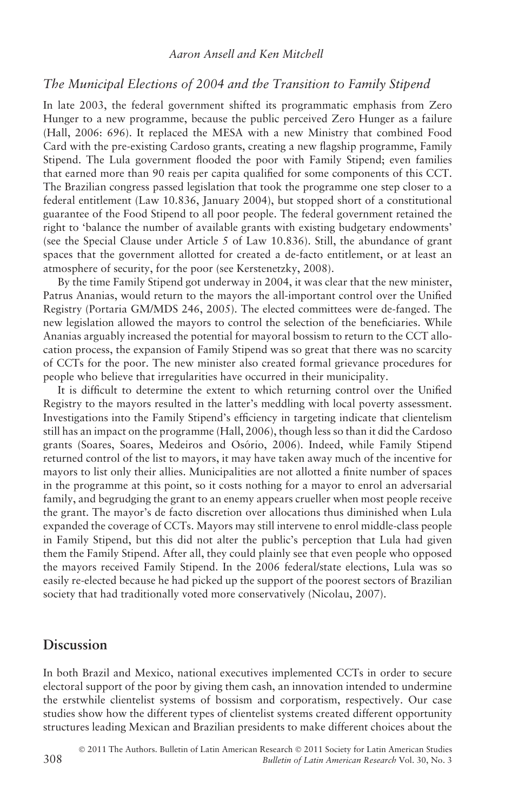## *The Municipal Elections of 2004 and the Transition to Family Stipend*

In late 2003, the federal government shifted its programmatic emphasis from Zero Hunger to a new programme, because the public perceived Zero Hunger as a failure (Hall, 2006: 696). It replaced the MESA with a new Ministry that combined Food Card with the pre-existing Cardoso grants, creating a new flagship programme, Family Stipend. The Lula government flooded the poor with Family Stipend; even families that earned more than 90 reais per capita qualified for some components of this CCT. The Brazilian congress passed legislation that took the programme one step closer to a federal entitlement (Law 10.836, January 2004), but stopped short of a constitutional guarantee of the Food Stipend to all poor people. The federal government retained the right to 'balance the number of available grants with existing budgetary endowments' (see the Special Clause under Article 5 of Law 10.836). Still, the abundance of grant spaces that the government allotted for created a de-facto entitlement, or at least an atmosphere of security, for the poor (see Kerstenetzky, 2008).

By the time Family Stipend got underway in 2004, it was clear that the new minister, Patrus Ananias, would return to the mayors the all-important control over the Unified Registry (Portaria GM/MDS 246, 2005). The elected committees were de-fanged. The new legislation allowed the mayors to control the selection of the beneficiaries. While Ananias arguably increased the potential for mayoral bossism to return to the CCT allocation process, the expansion of Family Stipend was so great that there was no scarcity of CCTs for the poor. The new minister also created formal grievance procedures for people who believe that irregularities have occurred in their municipality.

It is difficult to determine the extent to which returning control over the Unified Registry to the mayors resulted in the latter's meddling with local poverty assessment. Investigations into the Family Stipend's efficiency in targeting indicate that clientelism still has an impact on the programme (Hall, 2006), though less so than it did the Cardoso grants (Soares, Soares, Medeiros and Osório, 2006). Indeed, while Family Stipend returned control of the list to mayors, it may have taken away much of the incentive for mayors to list only their allies. Municipalities are not allotted a finite number of spaces in the programme at this point, so it costs nothing for a mayor to enrol an adversarial family, and begrudging the grant to an enemy appears crueller when most people receive the grant. The mayor's de facto discretion over allocations thus diminished when Lula expanded the coverage of CCTs. Mayors may still intervene to enrol middle-class people in Family Stipend, but this did not alter the public's perception that Lula had given them the Family Stipend. After all, they could plainly see that even people who opposed the mayors received Family Stipend. In the 2006 federal/state elections, Lula was so easily re-elected because he had picked up the support of the poorest sectors of Brazilian society that had traditionally voted more conservatively (Nicolau, 2007).

# **Discussion**

In both Brazil and Mexico, national executives implemented CCTs in order to secure electoral support of the poor by giving them cash, an innovation intended to undermine the erstwhile clientelist systems of bossism and corporatism, respectively. Our case studies show how the different types of clientelist systems created different opportunity structures leading Mexican and Brazilian presidents to make different choices about the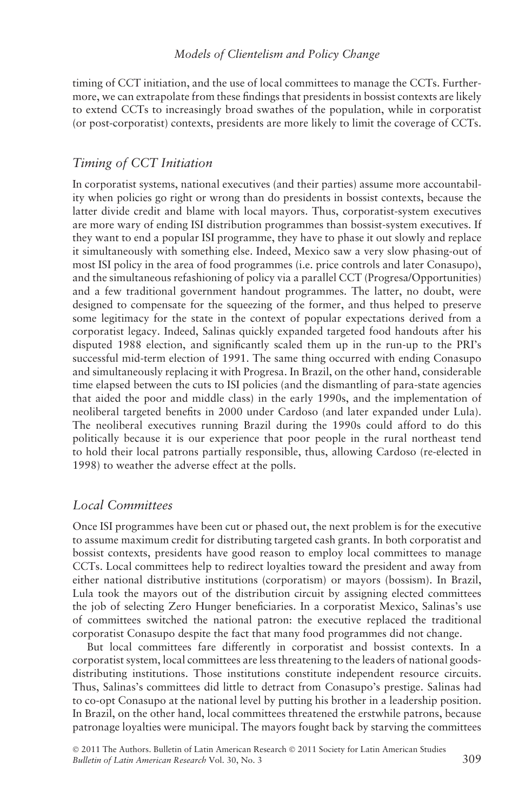timing of CCT initiation, and the use of local committees to manage the CCTs. Furthermore, we can extrapolate from these findings that presidents in bossist contexts are likely to extend CCTs to increasingly broad swathes of the population, while in corporatist (or post-corporatist) contexts, presidents are more likely to limit the coverage of CCTs.

# *Timing of CCT Initiation*

In corporatist systems, national executives (and their parties) assume more accountability when policies go right or wrong than do presidents in bossist contexts, because the latter divide credit and blame with local mayors. Thus, corporatist-system executives are more wary of ending ISI distribution programmes than bossist-system executives. If they want to end a popular ISI programme, they have to phase it out slowly and replace it simultaneously with something else. Indeed, Mexico saw a very slow phasing-out of most ISI policy in the area of food programmes (i.e. price controls and later Conasupo), and the simultaneous refashioning of policy via a parallel CCT (Progresa/Opportunities) and a few traditional government handout programmes. The latter, no doubt, were designed to compensate for the squeezing of the former, and thus helped to preserve some legitimacy for the state in the context of popular expectations derived from a corporatist legacy. Indeed, Salinas quickly expanded targeted food handouts after his disputed 1988 election, and significantly scaled them up in the run-up to the PRI's successful mid-term election of 1991. The same thing occurred with ending Conasupo and simultaneously replacing it with Progresa. In Brazil, on the other hand, considerable time elapsed between the cuts to ISI policies (and the dismantling of para-state agencies that aided the poor and middle class) in the early 1990s, and the implementation of neoliberal targeted benefits in 2000 under Cardoso (and later expanded under Lula). The neoliberal executives running Brazil during the 1990s could afford to do this politically because it is our experience that poor people in the rural northeast tend to hold their local patrons partially responsible, thus, allowing Cardoso (re-elected in 1998) to weather the adverse effect at the polls.

## *Local Committees*

Once ISI programmes have been cut or phased out, the next problem is for the executive to assume maximum credit for distributing targeted cash grants. In both corporatist and bossist contexts, presidents have good reason to employ local committees to manage CCTs. Local committees help to redirect loyalties toward the president and away from either national distributive institutions (corporatism) or mayors (bossism). In Brazil, Lula took the mayors out of the distribution circuit by assigning elected committees the job of selecting Zero Hunger beneficiaries. In a corporatist Mexico, Salinas's use of committees switched the national patron: the executive replaced the traditional corporatist Conasupo despite the fact that many food programmes did not change.

But local committees fare differently in corporatist and bossist contexts. In a corporatist system, local committees are less threatening to the leaders of national goodsdistributing institutions. Those institutions constitute independent resource circuits. Thus, Salinas's committees did little to detract from Conasupo's prestige. Salinas had to co-opt Conasupo at the national level by putting his brother in a leadership position. In Brazil, on the other hand, local committees threatened the erstwhile patrons, because patronage loyalties were municipal. The mayors fought back by starving the committees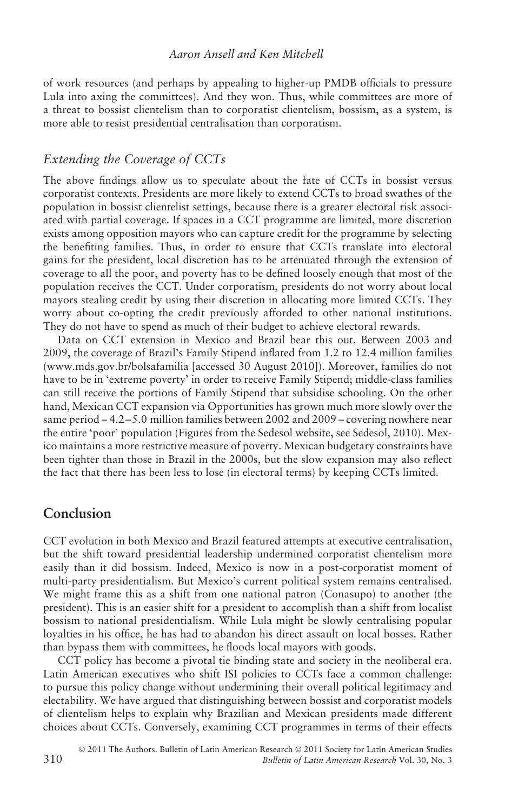of work resources (and perhaps by appealing to higher-up PMDB officials to pressure Lula into axing the committees). And they won. Thus, while committees are more of a threat to bossist clientelism than to corporatist clientelism, bossism, as a system, is more able to resist presidential centralisation than corporatism.

# *Extending the Coverage of CCTs*

The above findings allow us to speculate about the fate of CCTs in bossist versus corporatist contexts. Presidents are more likely to extend CCTs to broad swathes of the population in bossist clientelist settings, because there is a greater electoral risk associated with partial coverage. If spaces in a CCT programme are limited, more discretion exists among opposition mayors who can capture credit for the programme by selecting the benefiting families. Thus, in order to ensure that CCTs translate into electoral gains for the president, local discretion has to be attenuated through the extension of coverage to all the poor, and poverty has to be defined loosely enough that most of the population receives the CCT. Under corporatism, presidents do not worry about local mayors stealing credit by using their discretion in allocating more limited CCTs. They worry about co-opting the credit previously afforded to other national institutions. They do not have to spend as much of their budget to achieve electoral rewards.

Data on CCT extension in Mexico and Brazil bear this out. Between 2003 and 2009, the coverage of Brazil's Family Stipend inflated from 1.2 to 12.4 million families (www.mds.gov.br/bolsafamilia [accessed 30 August 2010]). Moreover, families do not have to be in 'extreme poverty' in order to receive Family Stipend; middle-class families can still receive the portions of Family Stipend that subsidise schooling. On the other hand, Mexican CCT expansion via Opportunities has grown much more slowly over the same period – 4.2–5.0 million families between 2002 and 2009 – covering nowhere near the entire 'poor' population (Figures from the Sedesol website, see Sedesol, 2010). Mexico maintains a more restrictive measure of poverty. Mexican budgetary constraints have been tighter than those in Brazil in the 2000s, but the slow expansion may also reflect the fact that there has been less to lose (in electoral terms) by keeping CCTs limited.

# **Conclusion**

CCT evolution in both Mexico and Brazil featured attempts at executive centralisation, but the shift toward presidential leadership undermined corporatist clientelism more easily than it did bossism. Indeed, Mexico is now in a post-corporatist moment of multi-party presidentialism. But Mexico's current political system remains centralised. We might frame this as a shift from one national patron (Conasupo) to another (the president). This is an easier shift for a president to accomplish than a shift from localist bossism to national presidentialism. While Lula might be slowly centralising popular loyalties in his office, he has had to abandon his direct assault on local bosses. Rather than bypass them with committees, he floods local mayors with goods.

CCT policy has become a pivotal tie binding state and society in the neoliberal era. Latin American executives who shift ISI policies to CCTs face a common challenge: to pursue this policy change without undermining their overall political legitimacy and electability. We have argued that distinguishing between bossist and corporatist models of clientelism helps to explain why Brazilian and Mexican presidents made different choices about CCTs. Conversely, examining CCT programmes in terms of their effects

© 2011 The Authors. Bulletin of Latin American Research © 2011 Society for Latin American Studies 310 *Bulletin of Latin American Research* Vol. 30, No. 3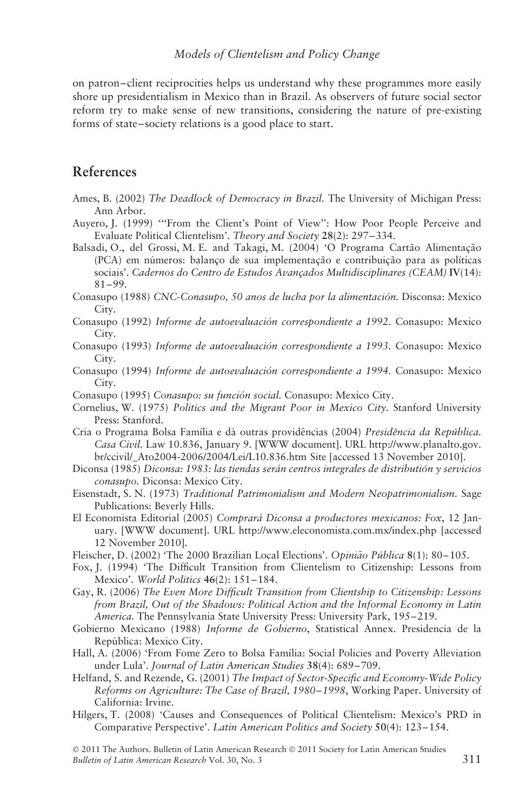on patron–client reciprocities helps us understand why these programmes more easily shore up presidentialism in Mexico than in Brazil. As observers of future social sector reform try to make sense of new transitions, considering the nature of pre-existing forms of state–society relations is a good place to start.

# **References**

- Ames, B. (2002) *The Deadlock of Democracy in Brazil.* The University of Michigan Press: Ann Arbor.
- Auyero, J. (1999) '''From the Client's Point of View'': How Poor People Perceive and Evaluate Political Clientelism'. *Theory and Society* **28**(2): 297–334.
- Balsadi, O., del Grossi, M. E. and Takagi, M. (2004) 'O Programa Cartão Alimentação (PCA) em números: balanço de sua implementação e contribuição para as políticas sociais'. *Cadernos do Centro de Estudos Avançados Multidisciplinares (CEAM)* **IV**(14): 81–99.
- Conasupo (1988) *CNC-Conasupo, 50 anos de lucha por la alimentacion. ´* Disconsa: Mexico City.
- Conasupo (1992) *Informe de autoevaluacion correspondiente a 1992. ´* Conasupo: Mexico City.
- Conasupo (1993) *Informe de autoevaluacion correspondiente a 1993. ´* Conasupo: Mexico City.
- Conasupo (1994) *Informe de autoevaluacion correspondiente a 1994. ´* Conasupo: Mexico City.
- Conasupo (1995) Conasupo: su función social. Conasupo: Mexico City.
- Cornelius, W. (1975) *Politics and the Migrant Poor in Mexico City.* Stanford University Press: Stanford.
- Cria o Programa Bolsa Família e dá outras providências (2004) Presidência da República. *Casa Civil.* Law 10.836, January 9. [WWW document]. URL http://www.planalto.gov. br/ccivil/\_Ato2004-2006/2004/Lei/L10.836.htm Site [accessed 13 November 2010].
- Diconsa (1985) *Diconsa: 1983: las tiendas seran centros integrales de distributi ´ on y servicios ´ conasupo.* Diconsa: Mexico City.
- Eisenstadt, S. N. (1973) *Traditional Patrimonialism and Modern Neopatrimonialism.* Sage Publications: Beverly Hills.
- El Economista Editorial (2005) *Comprara Diconsa a productores mexicanos: Fox ´* , 12 January. [WWW document]. URL http://www.eleconomista.com.mx/index.php [accessed 12 November 2010].
- Fleischer, D. (2002) 'The 2000 Brazilian Local Elections'. *Opiniao P ˜ ublica ´* **8**(1): 80–105.
- Fox, J. (1994) 'The Difficult Transition from Clientelism to Citizenship: Lessons from Mexico'. *World Politics* **46**(2): 151–184.
- Gay, R. (2006) *The Even More Difficult Transition from Clientship to Citizenship: Lessons from Brazil, Out of the Shadows: Political Action and the Informal Economy in Latin America.* The Pennsylvania State University Press: University Park, 195–219.
- Gobierno Mexicano (1988) *Informe de Gobierno*, Statistical Annex. Presidencia de la República: Mexico City.
- Hall, A. (2006) 'From Fome Zero to Bolsa Família: Social Policies and Poverty Alleviation under Lula'. *Journal of Latin American Studies* **38**(4): 689–709.
- Helfand, S. and Rezende, G. (2001) *The Impact of Sector-Specific and Economy-Wide Policy Reforms on Agriculture: The Case of Brazil, 1980–1998*, Working Paper. University of California: Irvine.
- Hilgers, T. (2008) 'Causes and Consequences of Political Clientelism: Mexico's PRD in Comparative Perspective'. *Latin American Politics and Society* **50**(4): 123–154.

© 2011 The Authors. Bulletin of Latin American Research © 2011 Society for Latin American Studies *Bulletin of Latin American Research* Vol. 30, No. 3 311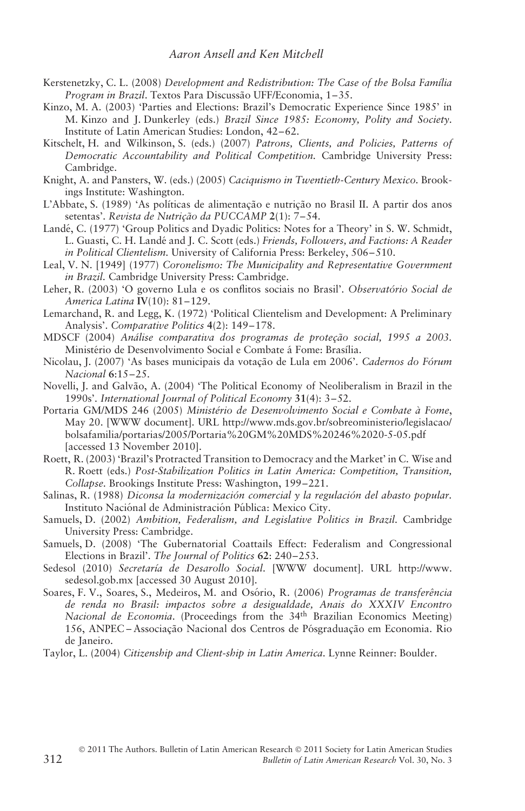- Kerstenetzky, C. L. (2008) *Development and Redistribution: The Case of the Bolsa Família Program in Brazil*. Textos Para Discussao UFF/Economia, 1–35. ˜
- Kinzo, M. A. (2003) 'Parties and Elections: Brazil's Democratic Experience Since 1985' in M. Kinzo and J. Dunkerley (eds.) *Brazil Since 1985: Economy, Polity and Society.* Institute of Latin American Studies: London, 42–62.
- Kitschelt, H. and Wilkinson, S. (eds.) (2007) *Patrons, Clients, and Policies, Patterns of Democratic Accountability and Political Competition.* Cambridge University Press: Cambridge.
- Knight, A. and Pansters, W. (eds.) (2005) *Caciquismo in Twentieth-Century Mexico.* Brookings Institute: Washington.
- L'Abbate, S. (1989) 'As políticas de alimentação e nutrição no Brasil II. A partir dos anos setentas'. *Revista de Nutrição da PUCCAMP* 2(1): 7-54.
- Landé, C. (1977) 'Group Politics and Dyadic Politics: Notes for a Theory' in S. W. Schmidt, L. Guasti, C. H. Lande and J. C. Scott (eds.) ´ *Friends, Followers, and Factions: A Reader in Political Clientelism.* University of California Press: Berkeley, 506–510.
- Leal, V. N. [1949] (1977) *Coronelismo: The Municipality and Representative Government in Brazil.* Cambridge University Press: Cambridge.
- Leher, R. (2003) 'O governo Lula e os conflitos sociais no Brasil'. *Observatorio Social de ´ America Latina* **IV**(10): 81–129.
- Lemarchand, R. and Legg, K. (1972) 'Political Clientelism and Development: A Preliminary Analysis'. *Comparative Politics* **4**(2): 149–178.
- MDSCF (2004) *Análise comparativa dos programas de proteção social*, 1995 a 2003. Ministério de Desenvolvimento Social e Combate á Fome: Brasília.
- Nicolau, J. (2007) 'As bases municipais da votação de Lula em 2006'. Cadernos do Fórum *Nacional* **6**:15–25.
- Novelli, J. and Galvão, A. (2004) 'The Political Economy of Neoliberalism in Brazil in the 1990s'. *International Journal of Political Economy* **31**(4): 3–52.
- Portaria GM/MDS 246 (2005) *Ministerio de Desenvolvimento Social e Combate ´ a Fome `* , May 20. [WWW document]. URL http://www.mds.gov.br/sobreoministerio/legislacao/ bolsafamilia/portarias/2005/Portaria%20GM%20MDS%20246%2020-5-05.pdf [accessed 13 November 2010].
- Roett, R. (2003) 'Brazil's Protracted Transition to Democracy and the Market' in C. Wise and R. Roett (eds.) *Post-Stabilization Politics in Latin America: Competition, Transition, Collapse.* Brookings Institute Press: Washington, 199–221.
- Salinas, R. (1988) *Diconsa la modernizacion comercial y la regulaci ´ on del abasto popular. ´* Instituto Naciónal de Administración Pública: Mexico City.
- Samuels, D. (2002) *Ambition, Federalism, and Legislative Politics in Brazil.* Cambridge University Press: Cambridge.
- Samuels, D. (2008) 'The Gubernatorial Coattails Effect: Federalism and Congressional Elections in Brazil'. *The Journal of Politics* **62**: 240–253.
- Sedesol (2010) *Secretaría de Desarollo Social*. [WWW document]. URL http://www. sedesol.gob.mx [accessed 30 August 2010].
- Soares, F. V., Soares, S., Medeiros, M. and Osório, R. (2006) *Programas de transferência de renda no Brasil: impactos sobre a desigualdade, Anais do XXXIV Encontro Nacional de Economia*. (Proceedings from the 34<sup>th</sup> Brazilian Economics Meeting) 156, ANPEC – Associação Nacional dos Centros de Pósgraduação em Economia. Rio de Janeiro.

Taylor, L. (2004) *Citizenship and Client-ship in Latin America.* Lynne Reinner: Boulder.